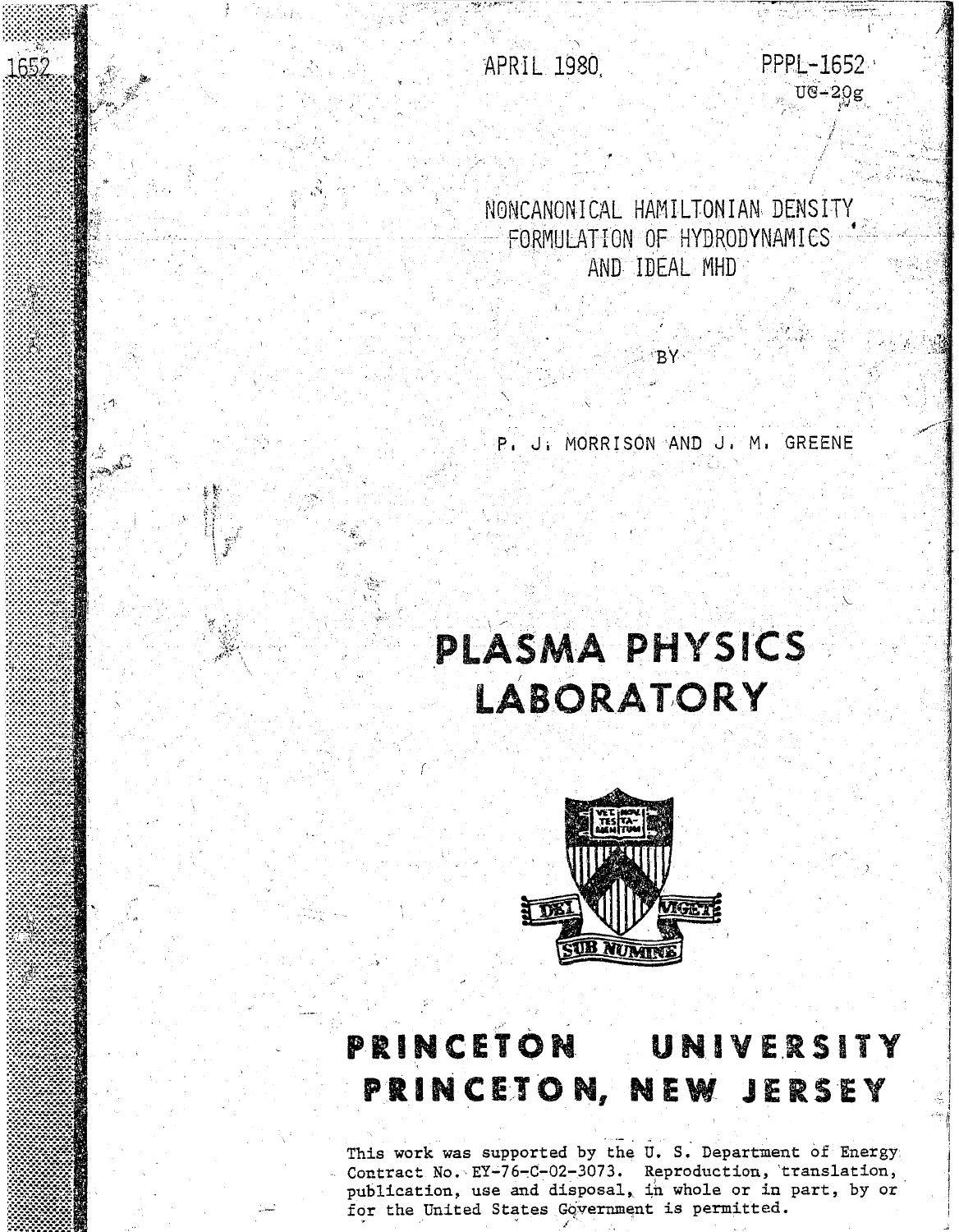APRIL 1980

1652

سلحته وتبعيه

PPPL-1652  $U$ G-20g

NONCANONICAL HAMILTONIAN DENSITY FORMULATION OF HYDRODYNAMICS AND IDEAL MHD

P. J. MORRISON AND J. M. GREENE

R۱

# PLASMA PHYSICS **LABORATORY**



## **PRINCETON** UNIVERSITY PRINCETON, NEW JERSEY

This work was supported by the U. S. Department of Energy Contract No. EY-76-C-02-3073. Reproduction, translation, publication, use and disposal, in whole or in part, by or for the United States Government is permitted.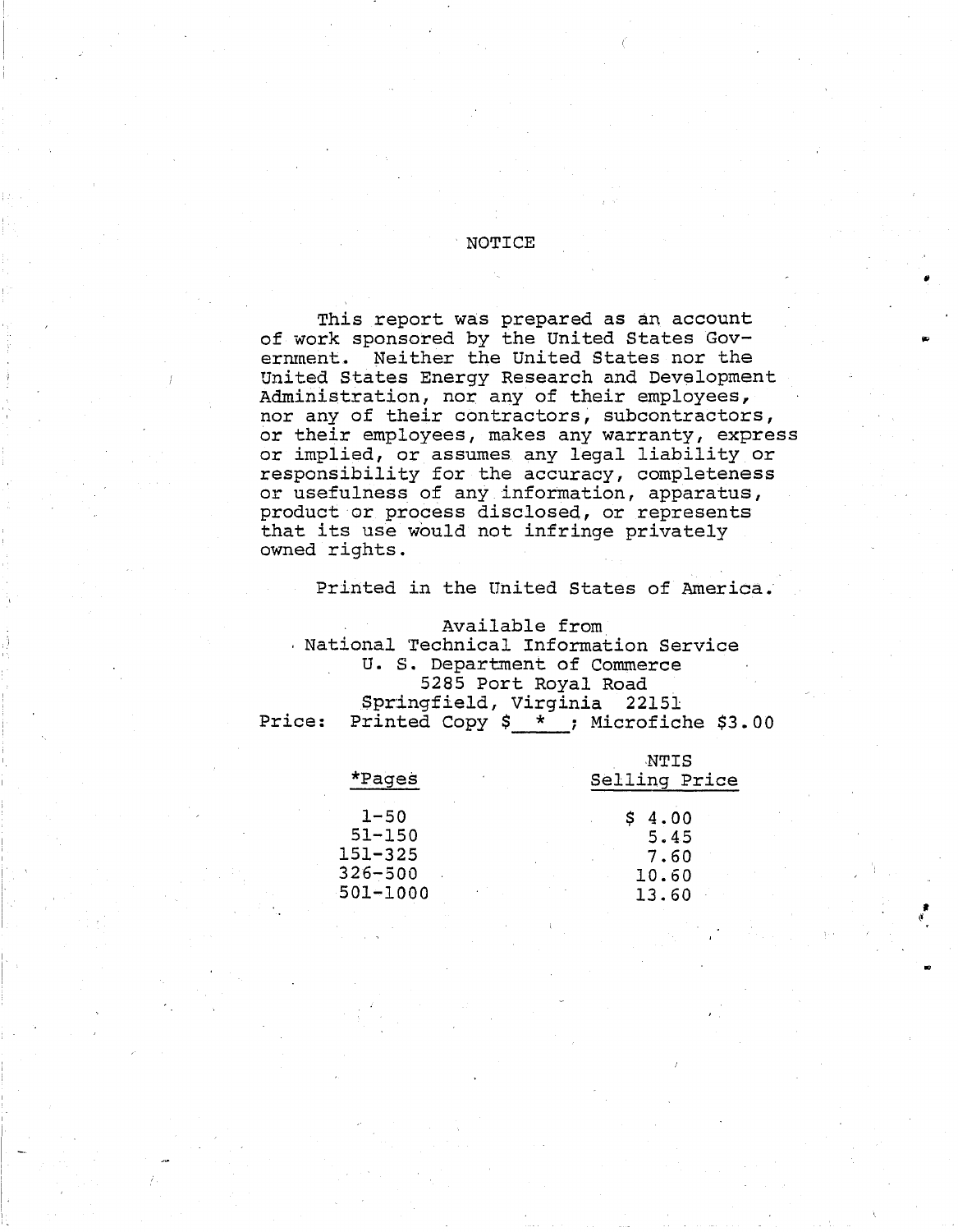#### · NOTICE

This report was prepared as an account of work sponsored by the United States Goverrunent. Neither the united States nor the United States Energy Research and Development Administration, nor any of their employees, nor any of their contractors, subcontractors, or their employees, makes any warranty, express or implied, or assumes. any legal liability or responsibility for the accuracy, completeness or usefulness of any information, apparatus, product or process disclosed, or represents that its use would not infringe privately owned rights.

Printed *in* the United States of America.

Available from National Technical Information Service U. S. Department of Commerce 5285 Port Royal Road Springfield, Virginia 22151 Price: Printed Copy  $$ *$  ; Microfiche \$3.00

| *Pages                                               | NTIS<br>Selling Price         |  |  |  |  |
|------------------------------------------------------|-------------------------------|--|--|--|--|
| $1 - 50$<br>$51 - 150$<br>$151 - 325$<br>$326 - 500$ | 4.00<br>5.45<br>7.60<br>10.60 |  |  |  |  |
| $501 - 1000$                                         | 13.60                         |  |  |  |  |
|                                                      |                               |  |  |  |  |

I I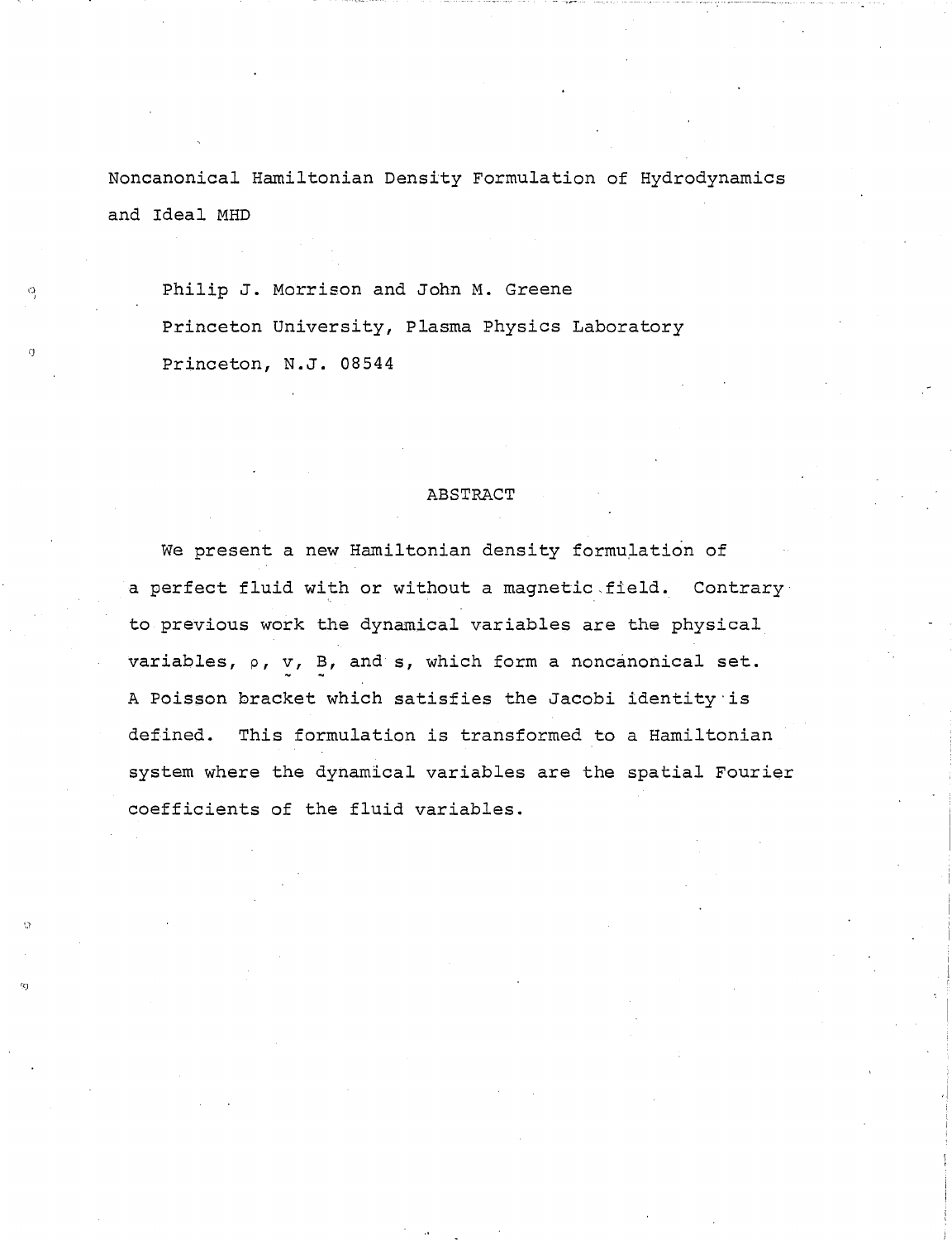Noncanonical Hamiltonian Density Formulation of Hydrodynamics and Ideal MHD

Philip J. Morrison and John M. Greene Princeton University, Plasma Physics Laboratory Princeton, N.J. 08544

() I

()

#### ABSTRACT

We present a new Hamiltonian density formulation of a perfect fluid with or without a magnetic.field. Contrary to previous work the dynamical variables are the physical variables, p, *v,* B, and s, which form a noncanonical set. A Poisson bracket which satisfies the Jacobi identity is defined. This formulation is transformed to a Hamiltonian system where the dynamical variables are the spatial Fourier coefficients of the fluid variables.

 $\mathbf{a}$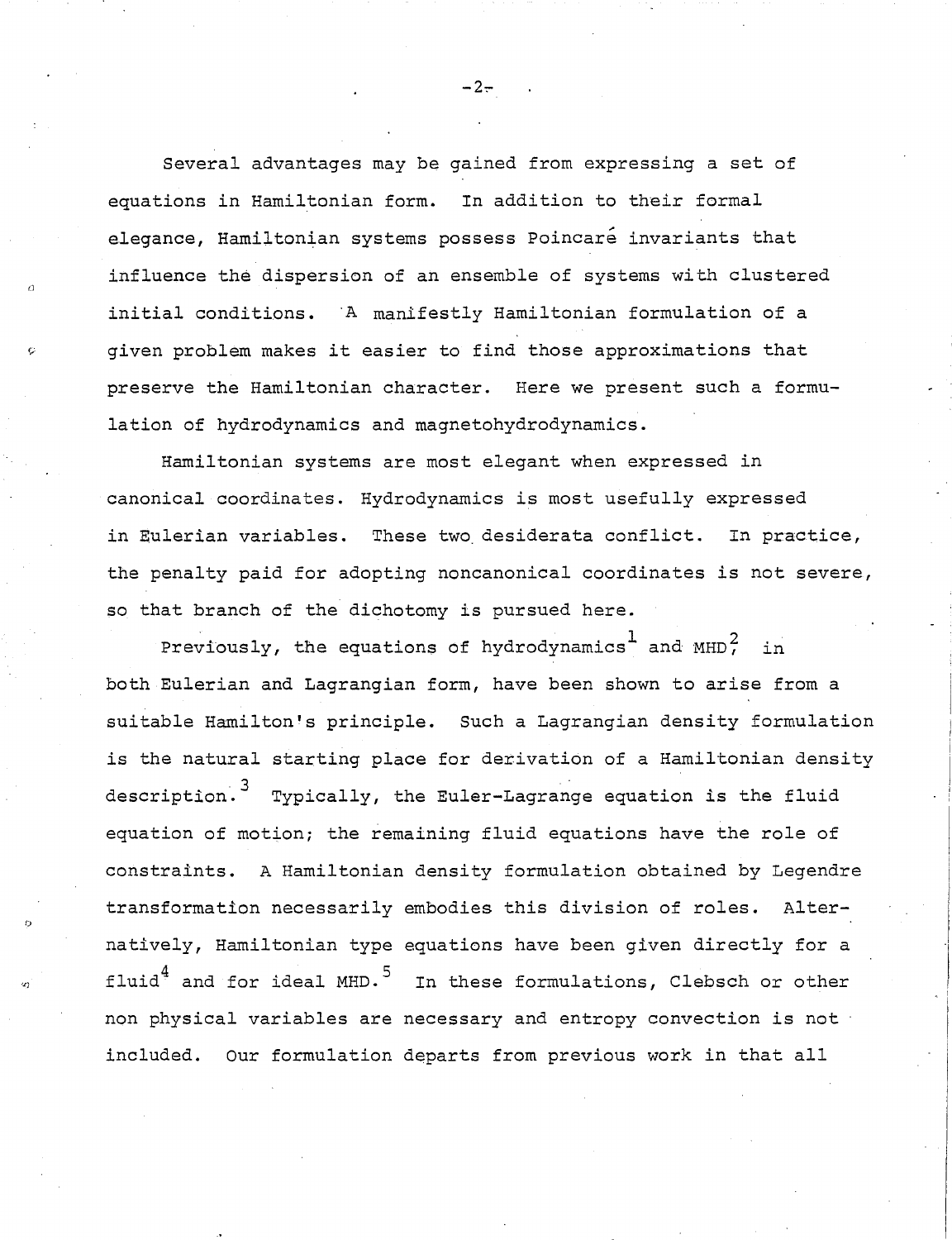Several advantages may be gained from expressing a set of equations in Hamiltonian form. In addition to their formal elegance, Hamiltonian systems possess Poincare invariants that influence the dispersion of an ensemble of systems with clustered initial conditions. A manifestly Hamiltonian formulation of a given problem makes it easier to find those approximations that preserve the Hamiltonian character. Here we present such a formulation of hydrodynamics and magnetohydrodynamics.

rJ

I)

*'L)* 

Hamiltonian systems are most elegant when expressed in canonical coordinates. Hydrodynamics is most usefully expressed in Eulerian variables. These two desiderata conflict. In practice, the penalty paid for adopting noncanonical coordinates is not severe, so that branch of the dichotomy is pursued here.

Previously, the equations of hydrodynamics<sup>1</sup> and  $MHD^2$ , in both Eulerian and Lagrangian form, have been shown to arise from a suitable Hamilton's principle. such a Lagrangian density formulation is the natural starting place for derivation of a Hamiltonian density description.<sup>3</sup> Typically, the Euler-Lagrange equation is the fluid equation of motion; the remaining fluid equations have the role of constraints. A Hamiltonian density formulation obtained by Legendre transformation necessarily embodies this division of roles. Alternatively, Hamiltonian type equations have been given directly for a fluid<sup>4</sup> and for ideal MHD.<sup>5</sup> In these formulations, Clebsch or other non physical variables are necessary and entropy convection is not included. Our formulation departs from previous work in that all

 $-2-$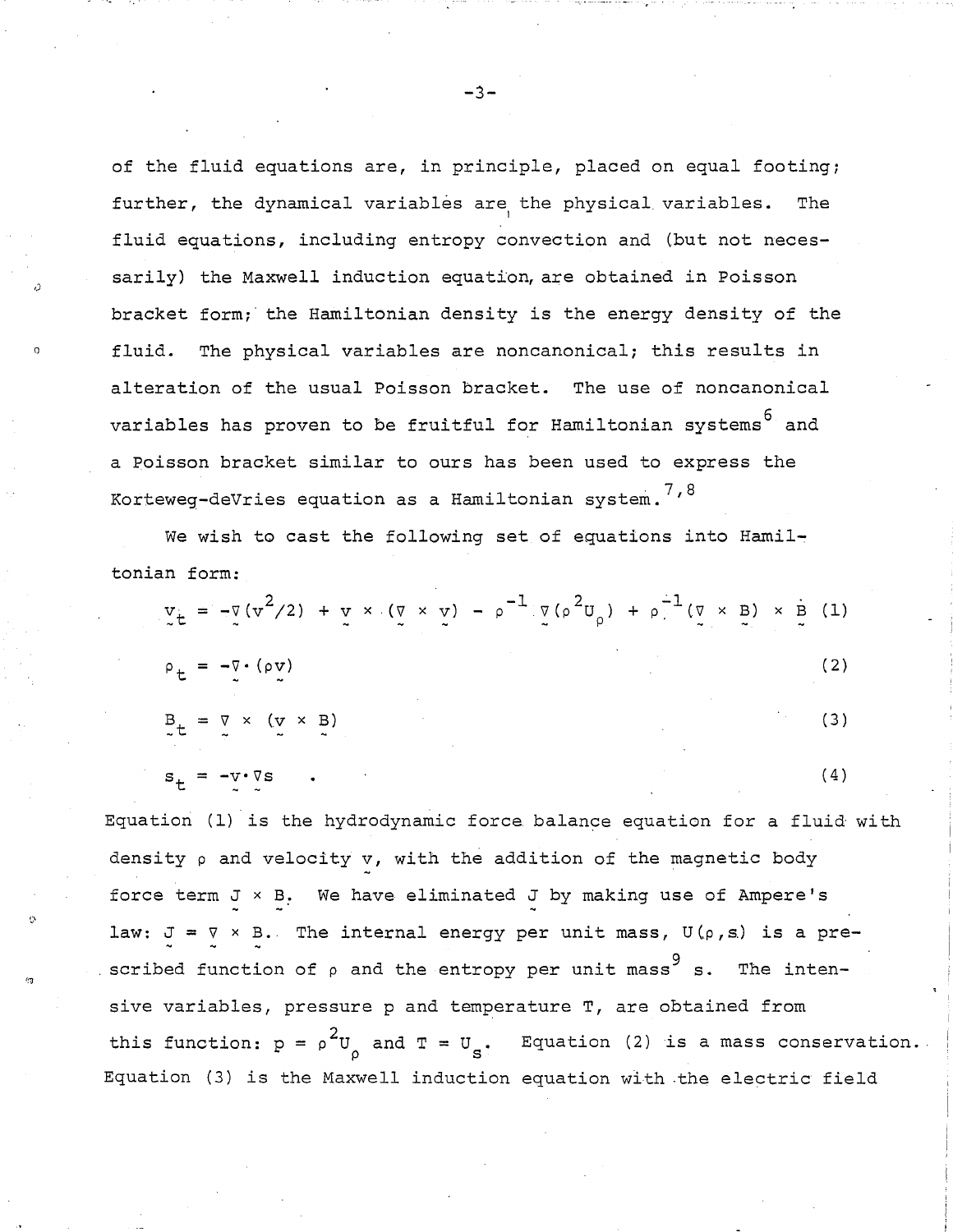of the fluid equations are, in principle, placed on equal footing; further, the dynamical variables are the physical variables. The fluid equations, including entropy convection and (but not necessarily) the Maxwell induction equation, are obtained in Poisson bracket form;' the Hamiltonian density is the energy density of the fluid. The physical variables are noncanonical; this results in alteration of the usual Poisson bracket. The use of noncanonical variables has proven to be fruitful for Hamiltonian systems<sup>6</sup> and a Poisson bracket similar to ours has been used to express the Korteweg-deVries equation as a Hamiltonian system.<sup>7,8</sup>

We wish to cast the following set of equations into Hamiltonian form:

|  | $V_{\tilde{z}} = -\bar{V} (v^2/2) + V \times (\bar{V} \times V) - \rho^{-1} (V (\rho^2 U_{\rho}) + \rho^{-1} (V \times B) \times B) (1)$ |  |  |  |  |            |
|--|------------------------------------------------------------------------------------------------------------------------------------------|--|--|--|--|------------|
|  | $\rho_t = -\overline{v} \cdot (\rho \overline{v})$                                                                                       |  |  |  |  | (2)        |
|  | $B_t = \nabla \times (\nabla \times B)$                                                                                                  |  |  |  |  | $\sim$ (3) |
|  | $s_t = -v \cdot \nabla s$ .                                                                                                              |  |  |  |  | (4)        |

Equation (1) is the hydrodynamic force balance equation for a fluid with density p and velocity v, with the addition of the magnetic body force term  $J \times B$ . We have eliminated  $J$  by making use of Ampere's law:  $J = \nabla \times B$ . The internal energy per unit mass,  $U(\rho, s)$  is a prescribed function of  $\rho$  and the entropy per unit mass  $^9$ The intensive variables, pressure p and temperature T, are obtained from this function:  $p = \rho^2 U_0$  and  $T = U_s$ . Equation (2) is a mass conservation. Equation (3) is the Maxwell induction equation with the electric field

 $-3-$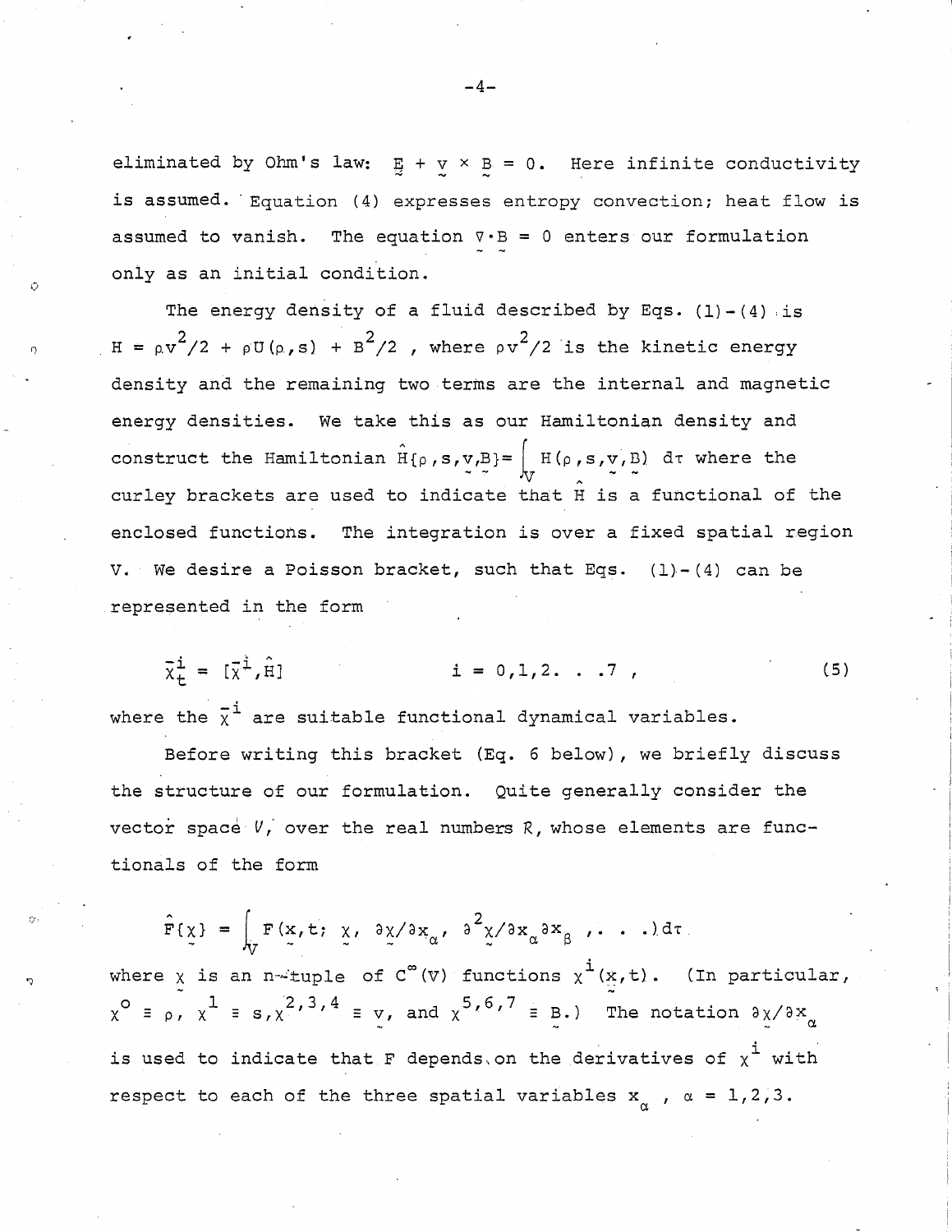eliminated by Ohm's law:  $\frac{B}{2} + \frac{V}{2} \times \frac{B}{2} = 0$ . Here infinite conductivity is assumed. Equation (4) expresses entropy convection; heat flow is assumed to vanish. The equation  $\nabla \cdot \mathbf{B} = 0$  enters our formulation only as an initial condition.

The energy density of a fluid described by Eqs.  $(1) - (4)$  is  $H = \rho v^2/2 + \rho U(\rho, s) + B^2/2$ , where  $\rho v^2/2$  is the kinetic energy density and the remaining two·terms are the internal and magnetic energy densities. We take this as our Hamiltonian density and construct the Hamiltonian  $H\{\rho,s,v,B\}=\int_{V} H(\rho,s,v',B)$  dt where the curley brackets are used to indicate that H is a functional of the enclosed functions. The integration is over a fixed spatial region V. We desire a Poisson bracket, such that Eqs.  $(1)-(4)$  can be represented in the form

 $\bar{x}^{\dot{\perp}} = [\bar{x}^{\dot{\perp}}, \hat{H}]$  $i = 0, 1, 2, ...7$ , (5)

where the  $\overline{x}^{\texttt{i}}$  are suitable functional dynamical variables.

Before writing this bracket (Eq. 6 below), we briefly discuss the structure of our formulation. Quite generally consider the vector space *V*, over the real numbers *R*, whose elements are functionals of the form

 $F{\chi} = \int_{\tau} F(x, t; \chi, \partial \chi / \partial x_{\alpha}, \partial^2 \chi / \partial x_{\alpha} \partial x_{\beta}, \ldots) d\tau$ where  $\chi$  is an n-tuple of C<sup>o</sup>(V) functions  $\chi^1(x,t)$ . (In particular,<br> $\chi^0 = \rho$ ,  $\chi^1 = s$ ,  $\chi^2$ , <sup>3</sup>, <sup>4</sup> = v, and  $\chi^{5}$ , <sup>6</sup>, <sup>7</sup> = B.) The notation  $\partial x/\partial x_{\alpha}$ is used to indicate that F depends on the derivatives of  $\chi^{\texttt{i}}$  with respect to each of the three spatial variables  $x_{\alpha}^{\dagger}$  ,  $\alpha = 1,2,3$ .

**-4-**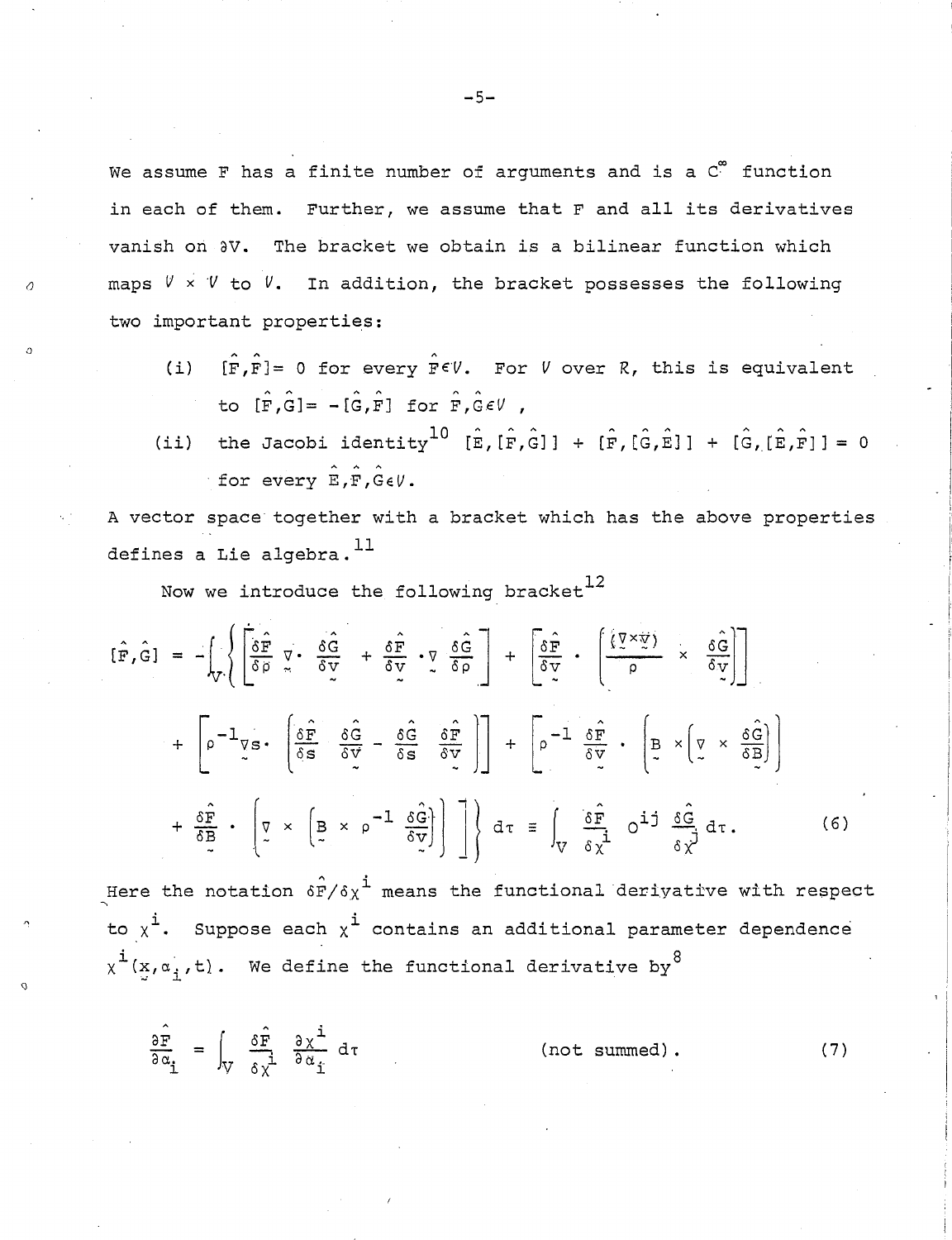**-5-**

We assume F has a finite number of arguments and is a C<sup>®</sup> function in each of them. Further, we assume that F and all its derivatives vanish on  $\partial V$ . The bracket we obtain is a bilinear function which maps  $V \times V$  to  $V$ . In addition, the bracket possesses the following two important properties:

- A (i) [F,FJ= 0 for every *F€V.* For *V* over R, this is equivalent to  $[\hat{F}, \hat{G}] = -[\hat{G}, \hat{F}]$  for  $\hat{F}, \hat{G} \in V$ ,
- (ii) the Jacobi identity<sup>10</sup> [E,[F,G]] + [F,[G,E]] + [G,[E,F]] = 0 for every  $\hat{E}, \hat{F}, \hat{G} \in V$ .

A vector space together with a bracket which has the above properties defines a Lie algebra.  $^{11}$ 

Now we introduce the following bracket $^{12}$ 

$$
\begin{aligned}\n[\hat{\mathbf{F}} , \hat{\mathbf{G}}] &= -\left( \int_{\mathcal{V}} \left\{ \frac{\hat{\mathbf{G}} \hat{\mathbf{F}}}{\delta \rho} \nabla \cdot \frac{\delta \hat{\mathbf{G}}}{\delta \mathbf{V}} + \frac{\delta \hat{\mathbf{F}}}{\delta \mathbf{V}} \cdot \nabla \cdot \frac{\delta \hat{\mathbf{G}}}{\delta \rho} \right\} \right] + \left[ \frac{\delta \hat{\mathbf{F}}}{\delta \mathbf{V}} \cdot \left( \frac{\left\langle \nabla \times \nabla \right\rangle}{\rho} \times \frac{\delta \hat{\mathbf{G}}}{\delta \mathbf{V}} \right) \right] \\
&+ \left[ \rho^{-1} \nabla \mathbf{s} \cdot \left( \frac{\delta \hat{\mathbf{F}}}{\delta \mathbf{s}} \frac{\delta \hat{\mathbf{G}}}{\delta \mathbf{V}} - \frac{\delta \hat{\mathbf{G}}}{\delta \mathbf{s}} \frac{\delta \hat{\mathbf{F}}}{\delta \mathbf{V}} \right) \right] + \left[ \rho^{-1} \frac{\delta \hat{\mathbf{F}}}{\delta \mathbf{V}} \cdot \left( \frac{\mathbf{B}}{2} \times \left( \nabla \times \frac{\delta \hat{\mathbf{G}}}{\delta \mathbf{B}} \right) \right) \right. \\
&+ \left. \frac{\delta \hat{\mathbf{F}}}{\delta \mathbf{s}} \cdot \left( \nabla \times \left( \frac{\mathbf{B}}{2} \times \rho^{-1} \frac{\delta \hat{\mathbf{G}}}{\delta \mathbf{V}} \right) \right) \right] \right\} d\tau \equiv \int_{\mathbf{V}} \frac{\delta \hat{\mathbf{F}}}{\delta \chi^{1}} \, \mathbf{O}^{1,1} \frac{\delta \hat{\mathbf{G}}}{\delta \chi} d\tau. \n\end{aligned} \tag{6}
$$

Here the notation  $\hat{\textbf{sf}}/\textbf{s}_X$ <sup>i</sup> means the functional derivative with respect to  $x^{\texttt{i}}$ . Suppose each  $x^{\texttt{i}}$  contains an additional parameter dependence  $x^{\texttt{i}}(x,a_i,t)$ . We define the functional derivative by

 $\frac{5}{16}$  $9\alpha$ <sup>1</sup>  $(not summed)$ .  $(7)$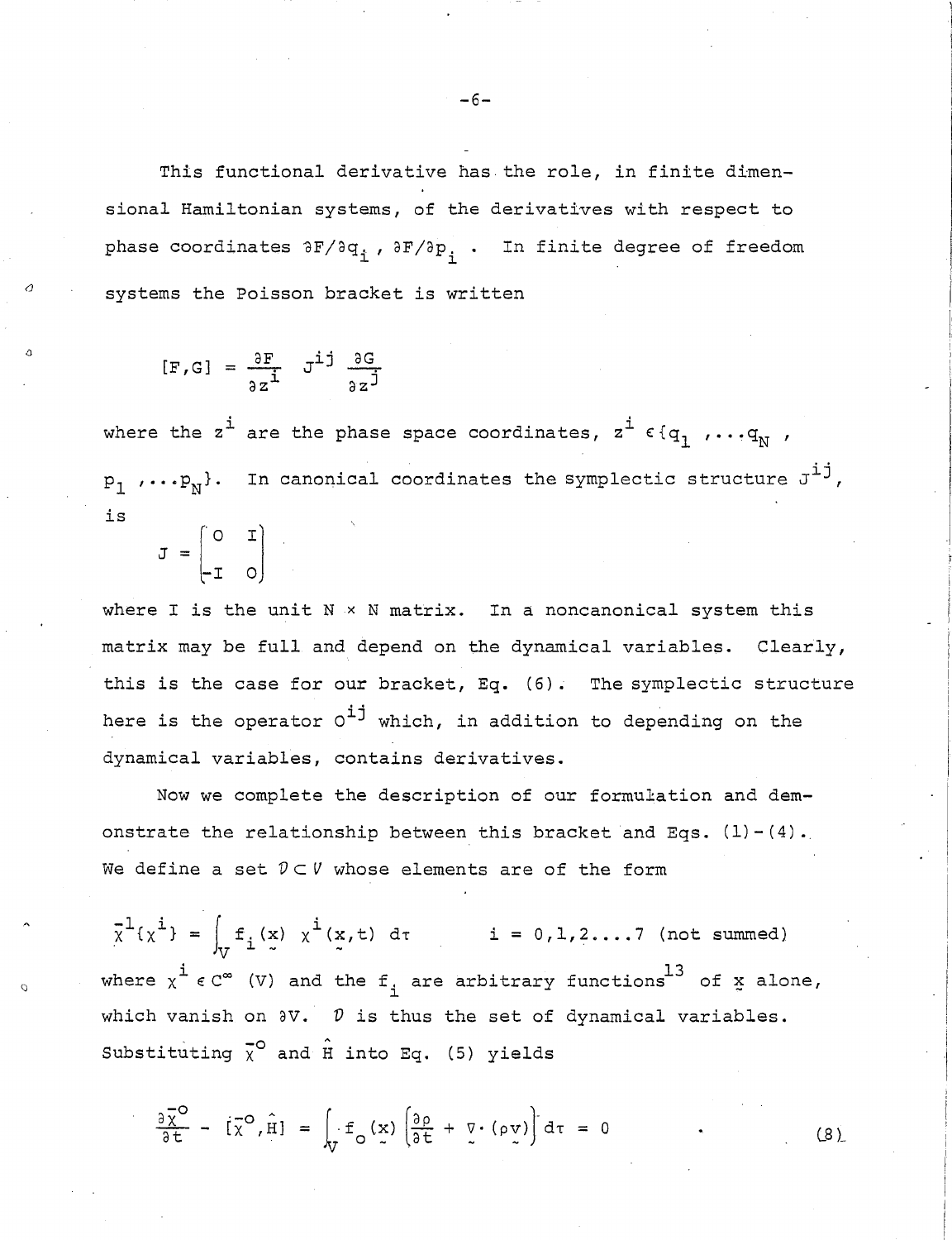This functional derivative has the role, in finite dimensional Hamiltonian systems, of the derivatives with respect to phase coordinates  $\partial F / \partial q_i$ ,  $\partial F / \partial p_i$ . In finite degree of freedom systems the Poisson bracket is written

$$
[F,G] = \frac{\partial F}{\partial z^{\mathbf{i}}} \quad J^{\mathbf{i}\mathbf{j}} \quad \frac{\partial G}{\partial z^{\mathbf{j}}}
$$

where the  $z^{\dot{1}}$  are the phase space coordinates,  $z^{\dot{1}}$   $\epsilon$  { $q_1$  ,... $q_N$  ,  $P_1$   $\cdots P_N$ . In canonical coordinates the symplectic structure  $J^{\dot{1}\dot{1}}$ , is

$$
J = \begin{bmatrix} 0 & I \\ -I & 0 \end{bmatrix}
$$

where I is the unit  $N \times N$  matrix. In a noncanonical system this matrix may be full and depend on the dynamical variables. Clearly, this is the case for our bracket, Eq. (6). The symplectic structure here is the operator  $o^{ij}$  which, in addition to depending on the dynamical variables, contains derivatives.

Now we complete the description of our formulation and demonstrate the relationship between this bracket and Eqs.  $(1)-(4)$ . We define a set  $D\subset V$  whose elements are of the form

 $\bar{x}^1(x^i) = \int_{\tau} f_i(x) x^i(x,t) d\tau$  i = 0,1,2....7 (not summed) where  $x^i \in C^{\infty}$  (V) and the  $f_i$  are arbitrary functions  $13$  of  $x$  alone, which vanish on  $\partial V$ .  $D$  is thus the set of dynamical variables. Substituting  $\bar{x}^{\circ}$  and  $\hat{H}$  into Eq. (5) yields

 $\frac{\partial \overline{X}^{\circ}}{\partial t} - [\overline{X}^{\circ}, \hat{H}] = \int_{\tau} f_{\circ}(x) \left( \frac{\partial \rho}{\partial t} + \overline{V} \cdot (\rho \overline{V}) \right) d\tau = 0$ 

 $(8)$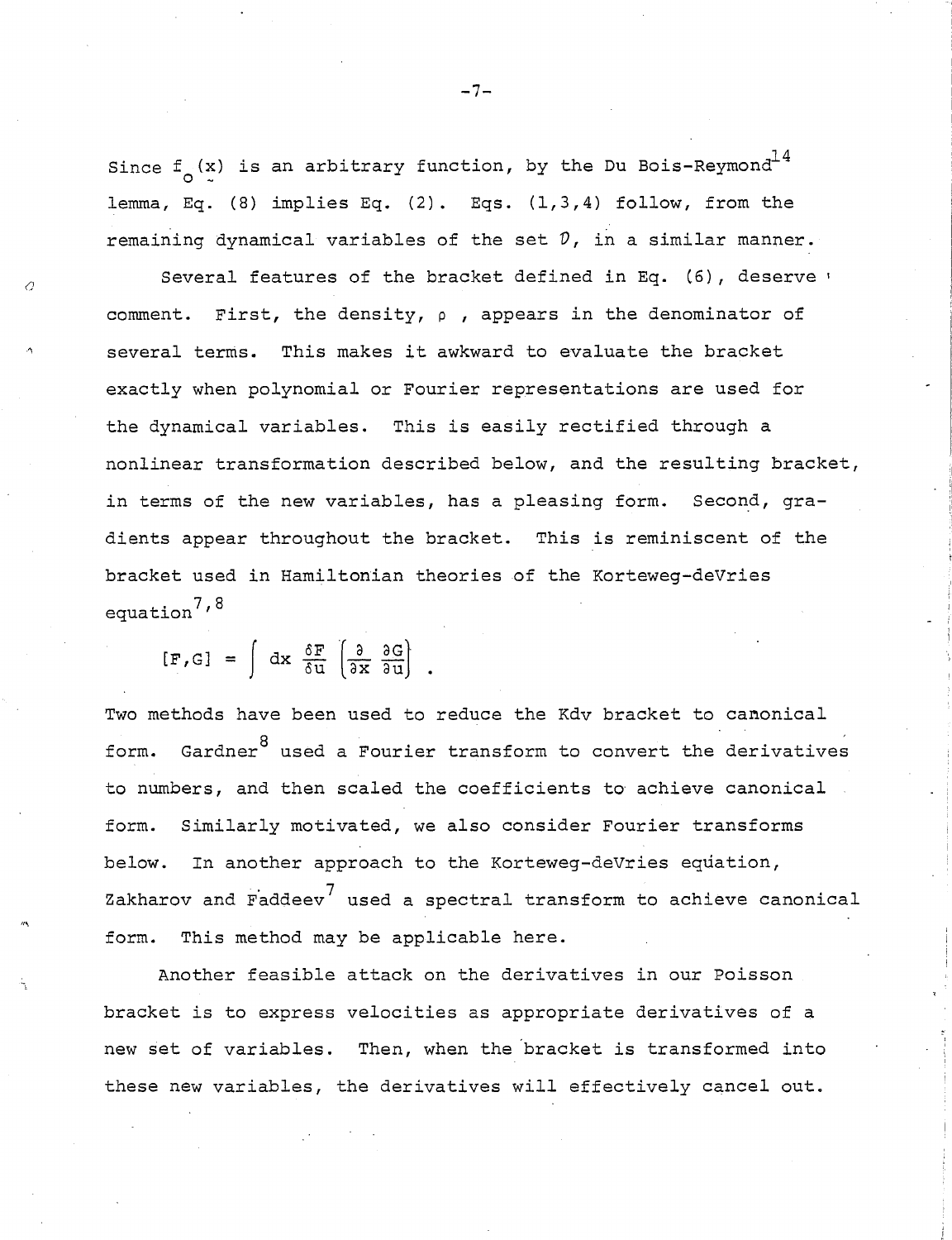Since  $f_{\circ}$  (x) is an arbitrary function, by the Du Bois-Reymond $^{14}$ lemma, Eq. (8) implies Eq. (2). Eqs.  $(1,3,4)$  follow, from the remaining dynamical variables of the set *V,* in a similar manner.

Several features of the bracket defined in Eq. (6), deserve 1 comment. First, the density,  $\rho$ , appears in the denominator of several terms. This makes it awkward to evaluate the bracket exactly when polynomial or Fourier representations are used for the dynamical variables. This is easily rectified through a nonlinear transformation described below, and the resulting bracket, in terms of the new variables, has a pleasing form. Second, gradients appear throughout the bracket. This is reminiscent of the bracket used in Hamiltonian theories of the Korteweg-deVries equation<sup> $7,8$ </sup>

 $[F, G] = \int dx \frac{\delta F}{\delta u} \left[ \frac{\partial}{\partial x} \frac{\partial G}{\partial u} \right]$ .

a

'"

Two methods have been used to reduce the Kdv bracket to canonical form. Gardner $^8$  used a Fourier transform to convert the derivatives to numbers, and then scaled the coefficients to' achieve canonical form. Similarly motivated, we also consider Fourier transforms below. In another approach to the Korteweg-deVries equation, Zakharov and Faddeev<sup>7</sup> used a spectral transform to achieve canonical form. This method may be applicable here.

Another feasible attack on the derivatives in our Poisson bracket is to express velocities as appropriate derivatives of a new set of variables. Then, when the 'bracket is transformed into these new variables, the derivatives will effectively cancel out.

**-7-**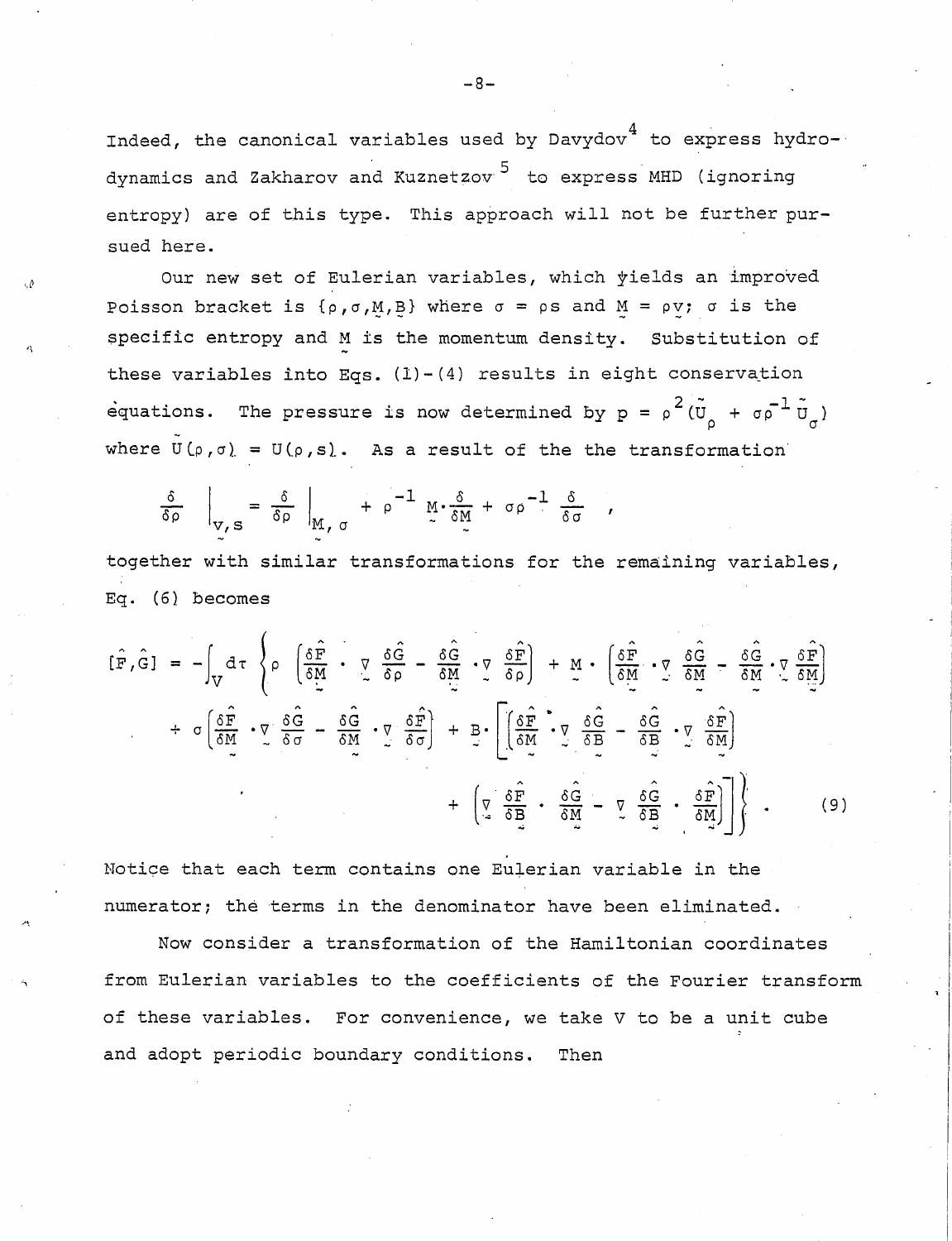Indeed, the canonical variables used by  $Davydov<sup>4</sup>$  to express hydrodynamics and Zakharov and Kuznetzov <sup>5</sup> to express MHD (ignoring entropy) are of this type. This approach will not be further pursued here.

Our new set of Eulerian variables, which yields an improved Poisson bracket is  $\{\rho, \sigma, M, B\}$  where  $\sigma = \rho s$  and  $M = \rho v$ ;  $\sigma$  is the specific entropy and M is the momentum density. Substitution of these variables into Eqs.  $(1) - (4)$  results in eight conservation equations. The pressure is now determined by  $p = \rho^2(\tilde{\upsilon}_{\rho} + \sigma \rho^{-1} \tilde{\upsilon}_{\sigma})$ where  $\tilde{U}(\rho,\sigma) = U(\rho,s)$ . As a result of the the transformation

$$
\frac{\delta}{\delta \rho} \bigg|_{V, S} = \frac{\delta}{\delta \rho} \bigg|_{M, \sigma} + \rho^{-1} M \cdot \frac{\delta}{\delta M} + \sigma \rho^{-1} \frac{\delta}{\delta \sigma}
$$

together with similar transformations for the remaining variables, Eq. (6) becomes

I - <sup>I</sup>

$$
[\hat{F}, \hat{G}] = -\int_{V} d\tau \left\{ \rho \left( \frac{\delta \hat{F}}{\delta M} \cdot \nabla \frac{\delta \hat{G}}{\delta \rho} - \frac{\delta \hat{G}}{\delta M} \cdot \nabla \frac{\delta \hat{F}}{\delta \rho} \right) + M \cdot \left( \frac{\delta \hat{F}}{\delta M} \cdot \nabla \frac{\delta \hat{G}}{\delta M} - \frac{\delta \hat{G}}{\delta M} \cdot \nabla \frac{\delta \hat{F}}{\delta M} \right) \right\} + \sigma \left( \frac{\delta \hat{F}}{\delta M} \cdot \nabla \frac{\delta \hat{G}}{\delta \sigma} - \frac{\delta \hat{G}}{\delta M} \cdot \nabla \frac{\delta \hat{F}}{\delta \sigma} \right) + B \cdot \left[ \left( \frac{\delta \hat{F}}{\delta M} \cdot \nabla \frac{\delta \hat{G}}{\delta B} - \frac{\delta \hat{G}}{\delta B} \cdot \nabla \frac{\delta \hat{F}}{\delta M} \right) \right] + \left( \nabla \frac{\delta \hat{F}}{\delta B} \cdot \frac{\delta \hat{G}}{\delta M} - \nabla \frac{\delta \hat{G}}{\delta B} \cdot \frac{\delta \hat{F}}{\delta M} \right) \right\}.
$$
\n(9)

Notice that each term contains one Eulerian variable in the numerator; the terms in the denominator have been eliminated.

"

Now consider a transformation of the Hamiltonian coordinates from Eulerian variables to the coefficients of the Fourier transform of these variables. For convenience, we take V to be a unit cube and adopt periodic boundary conditions. Then

-8-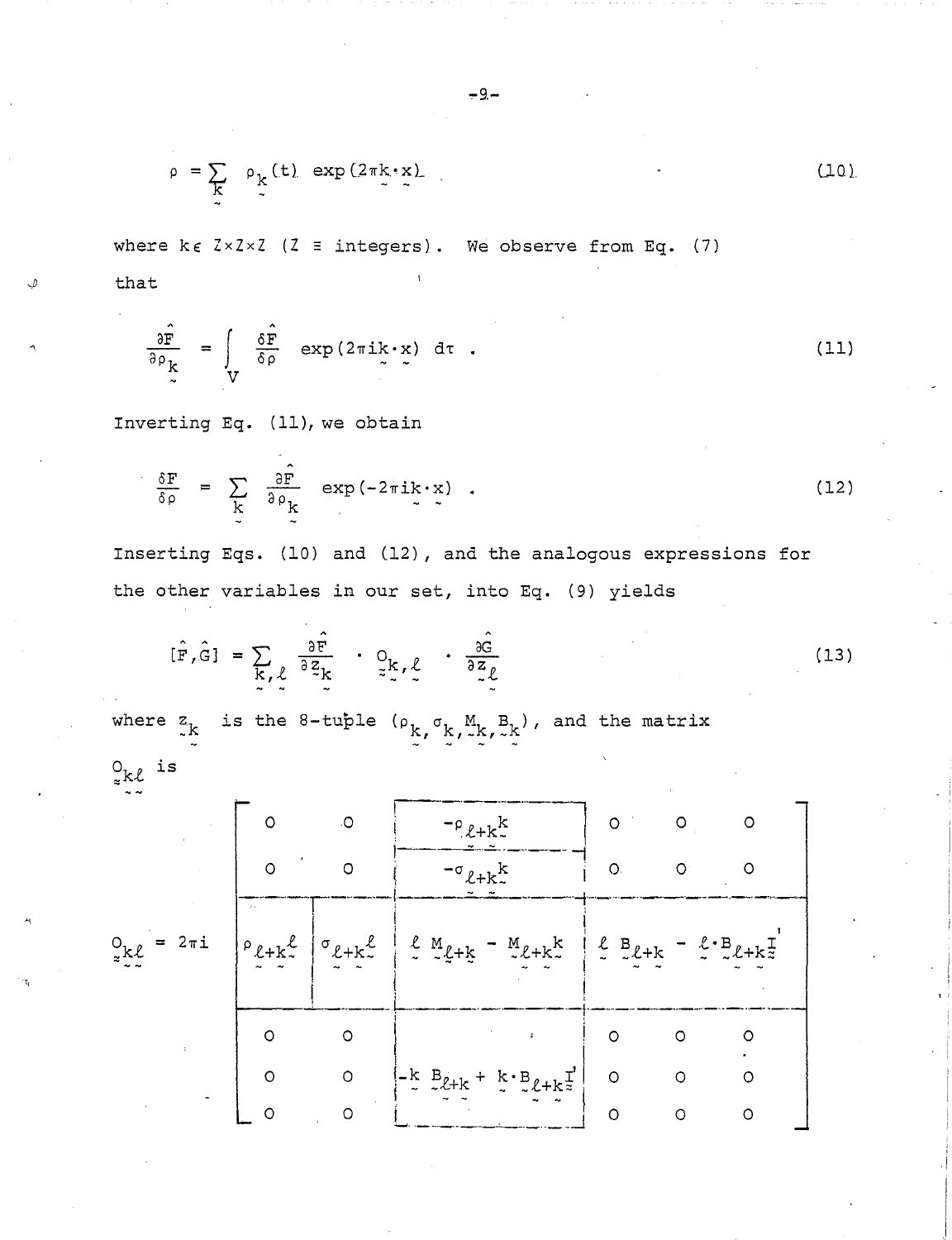$$
\rho = \sum_{k} \rho_{k}(t) \exp(2\pi k \cdot x)
$$
 (10)

where  $k \in \mathbb{Z} \times \mathbb{Z} \times \mathbb{Z}$  ( $\mathbb{Z} \equiv \text{integers}$ ). We observe from Eq. (7) that

$$
\frac{\partial \hat{F}}{\partial \rho_k} = \int_V \frac{\delta \hat{F}}{\delta \rho} \exp(2\pi i k \cdot x) d\tau
$$
 (11)

Inverting Eq. (11), we obtain

$$
\frac{\delta F}{\delta \rho} = \sum_{k} \frac{\partial \hat{F}}{\partial \rho_{k}} \exp(-2\pi i k \cdot x) \quad . \tag{12}
$$

Inserting Eqs. (10) and (12), and the analogous expressions for the other variables in our set, into Eq. (9) yields

$$
[\hat{F}, \hat{G}] = \sum_{\substack{k \\ \sim \ell}} \frac{\partial \hat{F}}{\partial z_k} \cdot \mathcal{Q}_{k, \ell} \cdot \frac{\partial \hat{G}}{\partial z_{\ell}}
$$
 (13)

where  $z_k$  is the 8-tuple  $(\rho_k, \sigma_k, M, B_k)$ , and the matrix

 $_{z}^{\mathrm{O}}$ kl is

|                                                      | ۰O       |         | $^{-\rho}$ $\ell$ + $k$ <sup><math>K</math></sup> $\sim$                                                                                                                                                                                                                                                                                                                                                   | $\Omega$ |   | റ |
|------------------------------------------------------|----------|---------|------------------------------------------------------------------------------------------------------------------------------------------------------------------------------------------------------------------------------------------------------------------------------------------------------------------------------------------------------------------------------------------------------------|----------|---|---|
|                                                      | $\Omega$ | O       | $^{-\sigma}$ $\ell$ + k $^{k}_{\sim}$                                                                                                                                                                                                                                                                                                                                                                      | $\circ$  |   |   |
| $O_{\underset{\approx}{\times}\mathcal{L}} = 2\pi i$ |          |         | $P_{\ell+k}^{\ell}$ $\sigma_{\ell+k}^{\ell}$ $\sigma_{\ell+k}^{\ell}$ $\sigma_{\ell+k}^{\ell}$ $\sigma_{\ell+k}^{\ell}$ $\sigma_{\ell+k}^{\ell}$ $\sigma_{\ell+k}^{\ell}$ $\sigma_{\ell+k}^{\ell}$ $\sigma_{\ell+k}^{\ell}$ $\sigma_{\ell+k}^{\ell}$ $\sigma_{\ell+k}^{\ell}$ $\sigma_{\ell+k}^{\ell}$ $\sigma_{\ell+k}^{\ell}$ $\sigma_{\ell+k}^{\ell}$ $\sigma_{\ell+k}^{\ell}$ $\sigma_{\ell+k}^{\ell}$ |          |   |   |
|                                                      |          | O       |                                                                                                                                                                                                                                                                                                                                                                                                            | $\Omega$ |   |   |
|                                                      | $\Omega$ | $\circ$ | $\begin{bmatrix} -k & B_{\ell+k} + k \cdot B_{\ell+k} \end{bmatrix}$                                                                                                                                                                                                                                                                                                                                       | $\circ$  |   |   |
|                                                      |          |         |                                                                                                                                                                                                                                                                                                                                                                                                            | $\Omega$ | റ |   |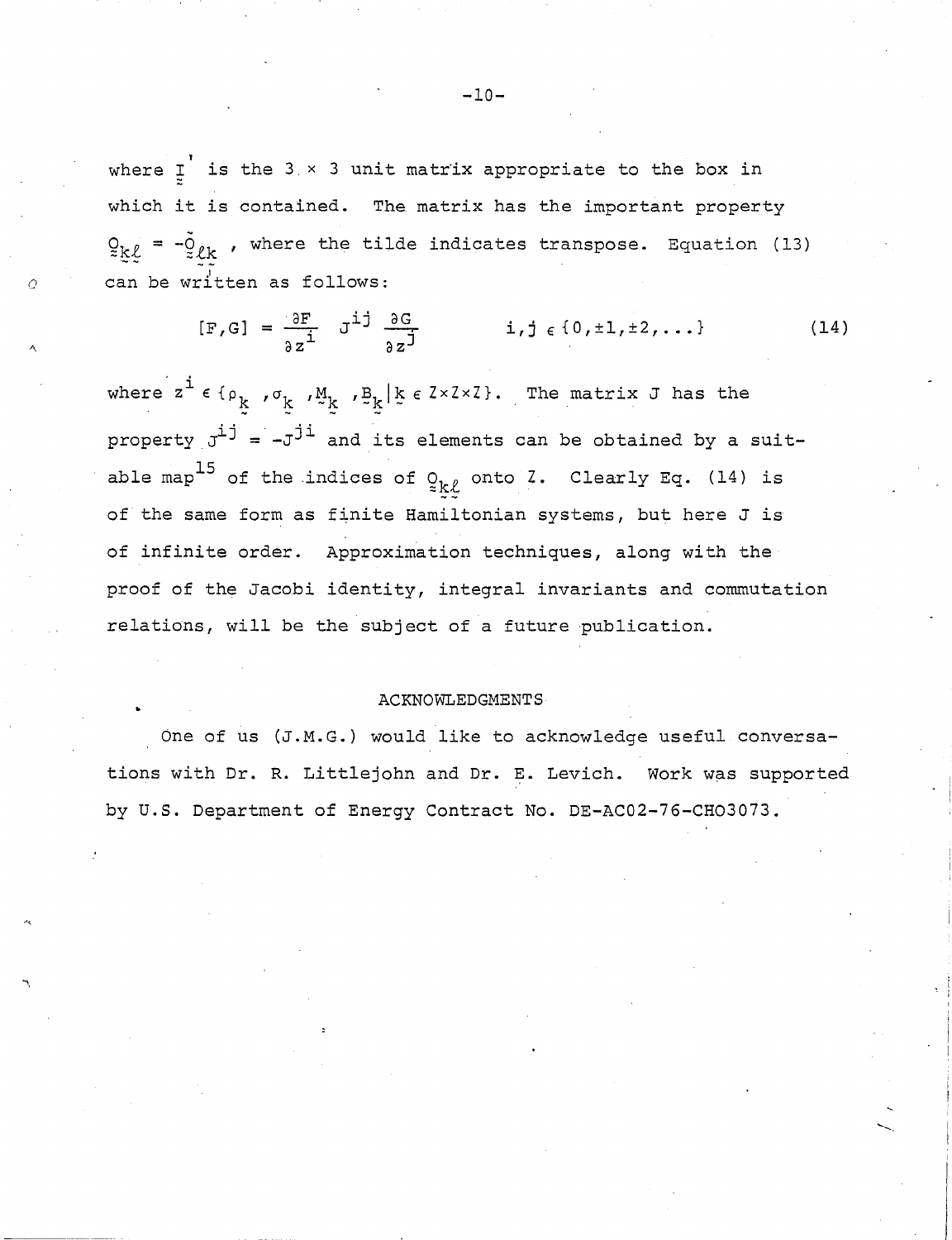where  $I_{\text{I}}$  is the 3  $\times$  3 unit matrix appropriate to the box in which it is contained. The matrix has the important property  $Q_{k\ell} = -\tilde{Q}_{\ell k}$  , where the tilde indicates transpose. Equation (13) can be written as follows:

*o* 

A.

"\

$$
[\mathbf{F}, \mathbf{G}] = \frac{\partial \mathbf{F}}{\partial z^{\mathbf{\underline{i}}}} \quad \mathbf{J}^{\mathbf{\underline{i}} \mathbf{\underline{j}}} \quad \frac{\partial \mathbf{G}}{\partial z^{\mathbf{\underline{j}}}} \qquad \qquad \mathbf{i}, \mathbf{j} \in \{0, \pm 1, \pm 2, \ldots\} \tag{14}
$$

where  $z^{\dot{\mathbf{i}}} \in \{ \rho_{\underline{k}}, \sigma_{\underline{k}}, \sigma_{\underline{k}}, \Sigma_{\underline{k}} \}$  ,  $\mathbb{E}_{\underline{k}} | \xi \in \mathbb{Z} \times \mathbb{Z} \times \mathbb{Z}$ . The matrix J has the property  $J^{ij} = -J^{ji}$  and its elements can be obtained by a suitable map<sup>15</sup> of the indices of  $Q_{k\ell}$  onto Z. Clearly Eq. (14) is of the same form as finite Hamiltonian systems, but here J is of infinite order. Approximation techniques, along with the proof of the Jacobi identity, integral invariants and commutation relations, will be the subject of a future publication.

#### ACKNOWLEDGMENTS

One of us (J.M.G.) would like to acknowledge useful conversations with Dr. R. Littlejohn and Dr. E. Levich. Work was supported by u.S. Department of Energy Contract No. DE-AC02-76-CH03073.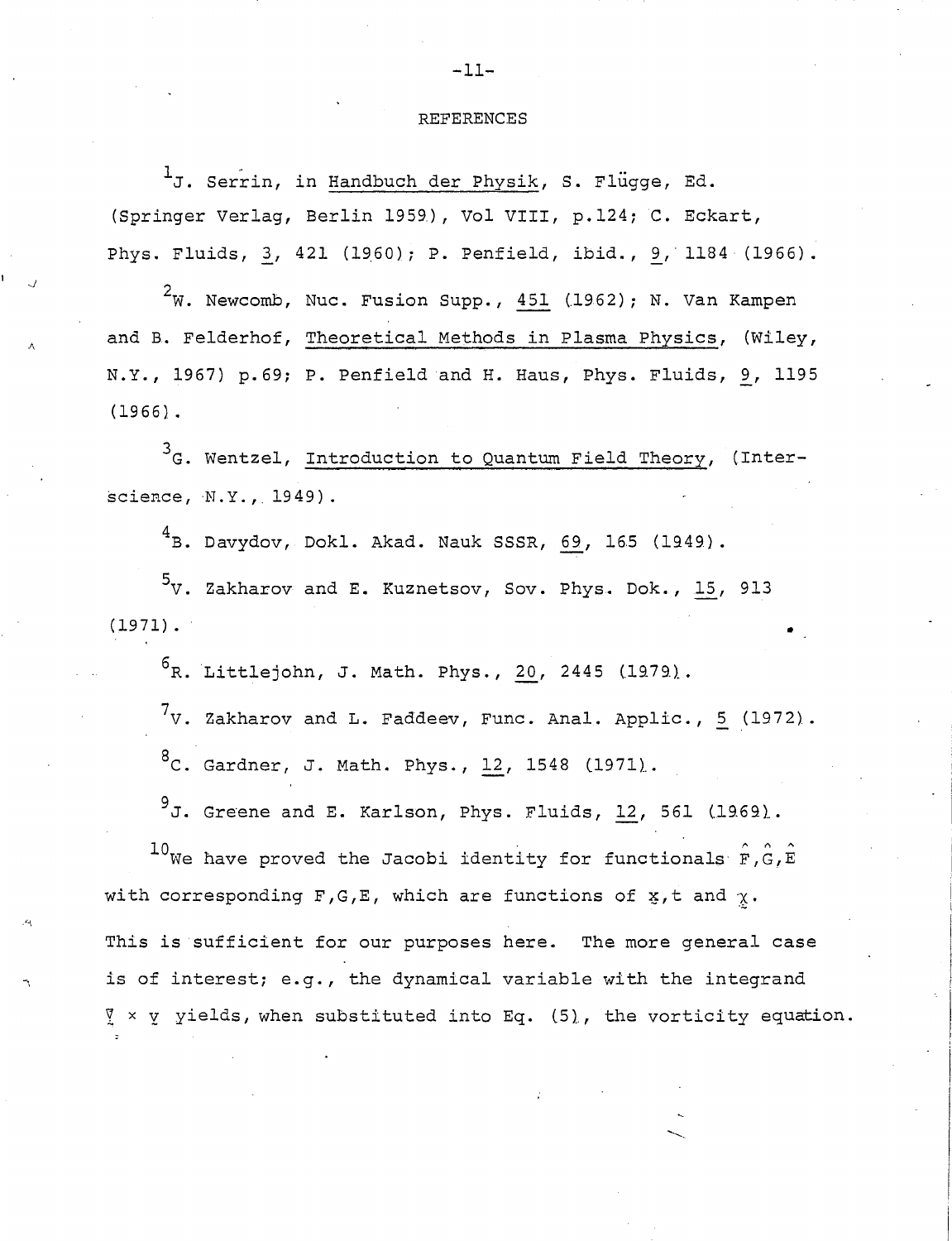### REFERENCES

 $\frac{1}{J}$ . Serrin, in Handbuch der Physik, S. Flugge, Ed. (Springer Verlag, Berlin 1959), Vol VIII, p.124; C. Eckart, Phys. Fluids, 3, 421 (1960); P. Penfield, ibid., 9, 1184 (1966).

<sup>2</sup>W. Newcomb, Nuc. Fusion Supp., 451 (1962); N. Van Kampen and B. Felderhof, Theoretical Methods in Plasma Physics, (Wiley, N.Y., 1967) p.69; P. Penfield and H. Haus, Phys. Fluids, 9, 1195 (1966) .

3<sub>G</sub>. Wentzel, Introduction to Quantum Field Theory, (Interscience, N.Y., 1949).

 $4B.$  Davydov, Dokl. Akad. Nauk SSSR, 69, 165 (1949).

 $5v$ . Zakharov and E. Kuznetsov, Sov. Phys. Dok., 15, 913  $(1971)$ .

 $^{6}$ R. Littlejohn, J. Math. Phys., 20, 2445 (1979).

 $7v.$  Zakharov and L. Faddeev, Func. Anal. Applic., 5 (1972).  ${}^{8}$ C. Gardner, J. Math. Phys., 12, 1548 (1971).

 $9$ J. Greene and E. Karlson, Phys. Fluids, 12, 561 (1969).

 $10$ We have proved the Jacobi identity for functionals  $\hat{F}$ ,  $\hat{G}$ ,  $\hat{E}$ with corresponding F,G,E, which are functions of  $x$ , t and  $\gamma$ . This is sufficient for our purposes here. The more general case is of interest; e.g., the dynamical variable with the integrand  $\frac{9}{2}$  x  $\frac{1}{2}$  yields, when substituted into Eq. (5), the vorticity equation.

-11-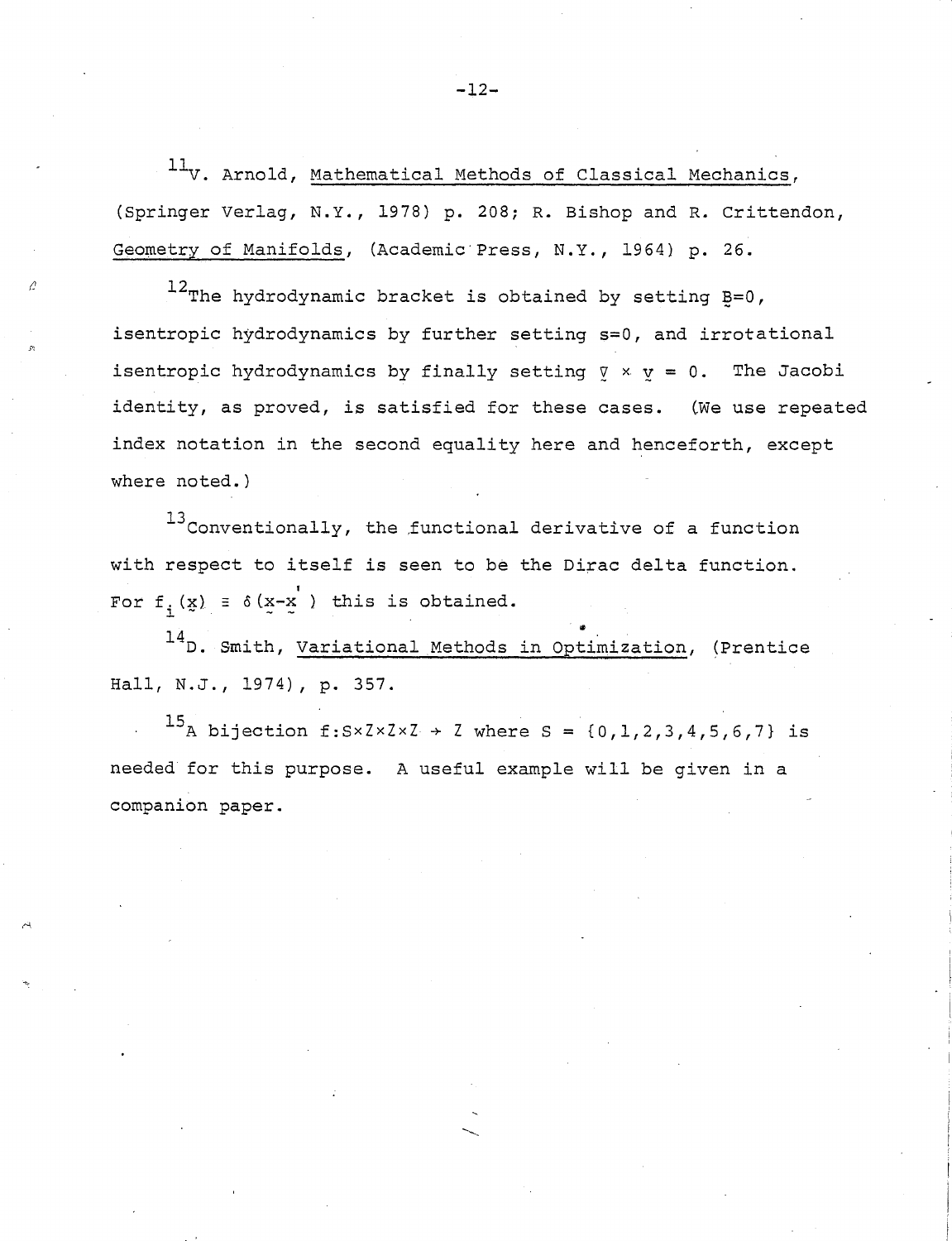$11_V$ . Arnold, Mathematical Methods of Classical Mechanics, (Springer Verlag, N.Y., 1978) p. 208; R. Bishop and R. Crittendon, Geometry of Manifolds, (Academic' Press, N.Y., 1964) p. 26.

 $^{12}$ The hydrodynamic bracket is obtained by setting  $E=0$ , isentropic hydrodynamics by further setting s=O, and irrotational isentropic hydrodynamics by finally setting  $\nabla \times \mathbf{v} = 0$ . The Jacobi identity, as proved, is satisfied for these cases. (We use repeated index notation in the second equality here and henceforth, except where noted.)

 $^{13}$ Conventionally, the functional derivative of a function with respect to itself is seen to be the Dirac delta function.<br>For  $f_i(x) = \delta(x-x')$  this is obtained.<br><sup>14</sup>D. Smith, Variational Methods in Optimization, (Prentice

Hall, N.J., 1974), p. 357.

 $^{15}$ A bijection f:Sx Z x Z  $\times$  Z where S = {0, 1, 2, 3, 4, 5, 6, 7} is needed for this purpose. A useful example will be given in a companion paper.

**-12-**